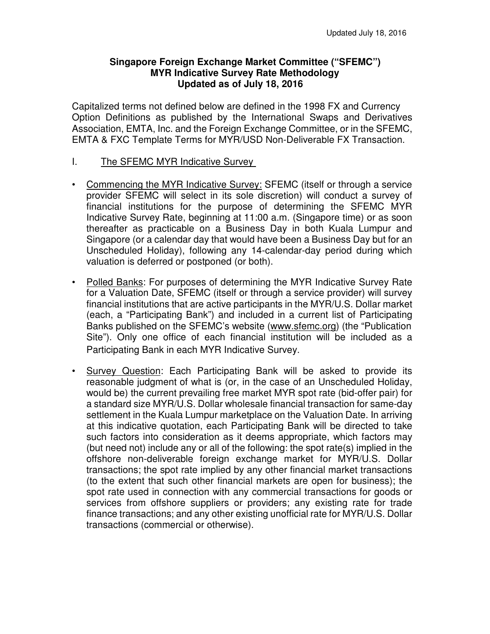### **Singapore Foreign Exchange Market Committee ("SFEMC") MYR Indicative Survey Rate Methodology Updated as of July 18, 2016**

Capitalized terms not defined below are defined in the 1998 FX and Currency Option Definitions as published by the International Swaps and Derivatives Association, EMTA, Inc. and the Foreign Exchange Committee, or in the SFEMC, EMTA & FXC Template Terms for MYR/USD Non-Deliverable FX Transaction.

- I. The SFEMC MYR Indicative Survey
- Commencing the MYR Indicative Survey: SFEMC (itself or through a service provider SFEMC will select in its sole discretion) will conduct a survey of financial institutions for the purpose of determining the SFEMC MYR Indicative Survey Rate, beginning at 11:00 a.m. (Singapore time) or as soon thereafter as practicable on a Business Day in both Kuala Lumpur and Singapore (or a calendar day that would have been a Business Day but for an Unscheduled Holiday), following any 14-calendar-day period during which valuation is deferred or postponed (or both).
- Polled Banks: For purposes of determining the MYR Indicative Survey Rate for a Valuation Date, SFEMC (itself or through a service provider) will survey financial institutions that are active participants in the MYR/U.S. Dollar market (each, a "Participating Bank") and included in a current list of Participating Banks published on the SFEMC's website (www.sfemc.org) (the "Publication Site"). Only one office of each financial institution will be included as a Participating Bank in each MYR Indicative Survey.
- Survey Question: Each Participating Bank will be asked to provide its reasonable judgment of what is (or, in the case of an Unscheduled Holiday, would be) the current prevailing free market MYR spot rate (bid-offer pair) for a standard size MYR/U.S. Dollar wholesale financial transaction for same-day settlement in the Kuala Lumpur marketplace on the Valuation Date. In arriving at this indicative quotation, each Participating Bank will be directed to take such factors into consideration as it deems appropriate, which factors may (but need not) include any or all of the following: the spot rate(s) implied in the offshore non-deliverable foreign exchange market for MYR/U.S. Dollar transactions; the spot rate implied by any other financial market transactions (to the extent that such other financial markets are open for business); the spot rate used in connection with any commercial transactions for goods or services from offshore suppliers or providers; any existing rate for trade finance transactions; and any other existing unofficial rate for MYR/U.S. Dollar transactions (commercial or otherwise).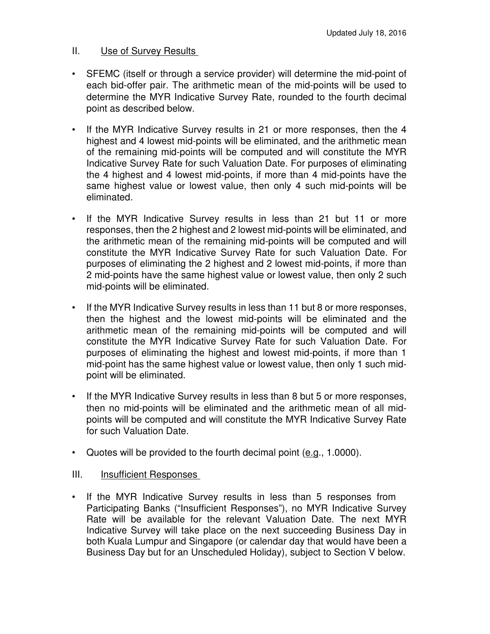### II. Use of Survey Results

- SFEMC (itself or through a service provider) will determine the mid-point of each bid-offer pair. The arithmetic mean of the mid-points will be used to determine the MYR Indicative Survey Rate, rounded to the fourth decimal point as described below.
- If the MYR Indicative Survey results in 21 or more responses, then the 4 highest and 4 lowest mid-points will be eliminated, and the arithmetic mean of the remaining mid-points will be computed and will constitute the MYR Indicative Survey Rate for such Valuation Date. For purposes of eliminating the 4 highest and 4 lowest mid-points, if more than 4 mid-points have the same highest value or lowest value, then only 4 such mid-points will be eliminated.
- If the MYR Indicative Survey results in less than 21 but 11 or more responses, then the 2 highest and 2 lowest mid-points will be eliminated, and the arithmetic mean of the remaining mid-points will be computed and will constitute the MYR Indicative Survey Rate for such Valuation Date. For purposes of eliminating the 2 highest and 2 lowest mid-points, if more than 2 mid-points have the same highest value or lowest value, then only 2 such mid-points will be eliminated.
- If the MYR Indicative Survey results in less than 11 but 8 or more responses, then the highest and the lowest mid-points will be eliminated and the arithmetic mean of the remaining mid-points will be computed and will constitute the MYR Indicative Survey Rate for such Valuation Date. For purposes of eliminating the highest and lowest mid-points, if more than 1 mid-point has the same highest value or lowest value, then only 1 such midpoint will be eliminated.
- If the MYR Indicative Survey results in less than 8 but 5 or more responses, then no mid-points will be eliminated and the arithmetic mean of all midpoints will be computed and will constitute the MYR Indicative Survey Rate for such Valuation Date.
- Quotes will be provided to the fourth decimal point  $(e.g., 1.0000)$ .

### III. **Insufficient Responses**

• If the MYR Indicative Survey results in less than 5 responses from Participating Banks ("Insufficient Responses"), no MYR Indicative Survey Rate will be available for the relevant Valuation Date. The next MYR Indicative Survey will take place on the next succeeding Business Day in both Kuala Lumpur and Singapore (or calendar day that would have been a Business Day but for an Unscheduled Holiday), subject to Section V below.